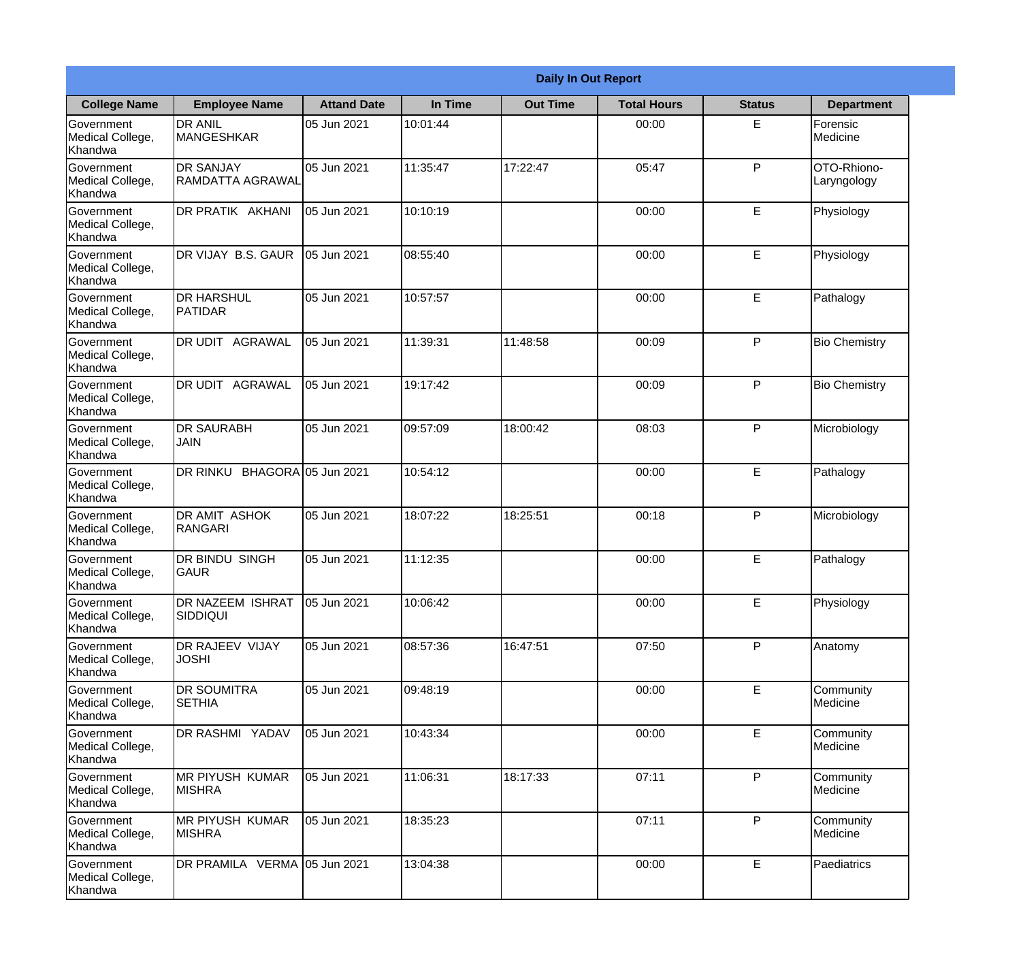| <b>Daily In Out Report</b>                       |                                         |                     |          |                 |                    |               |                            |  |
|--------------------------------------------------|-----------------------------------------|---------------------|----------|-----------------|--------------------|---------------|----------------------------|--|
| <b>College Name</b>                              | <b>Employee Name</b>                    | <b>Attand Date</b>  | In Time  | <b>Out Time</b> | <b>Total Hours</b> | <b>Status</b> | <b>Department</b>          |  |
| Government<br>Medical College,<br>Khandwa        | <b>DR ANIL</b><br><b>MANGESHKAR</b>     | 05 Jun 2021         | 10:01:44 |                 | 00:00              | E             | Forensic<br>Medicine       |  |
| Government<br>Medical College,<br>Khandwa        | <b>DR SANJAY</b><br>RAMDATTA AGRAWAL    | 05 Jun 2021         | 11:35:47 | 17:22:47        | 05:47              | P             | OTO-Rhiono-<br>Laryngology |  |
| Government<br>Medical College,<br>Khandwa        | DR PRATIK AKHANI                        | 05 Jun 2021         | 10:10:19 |                 | 00:00              | E             | Physiology                 |  |
| Government<br>Medical College,<br>Khandwa        | DR VIJAY B.S. GAUR                      | 05 Jun 2021         | 08:55:40 |                 | 00:00              | E             | Physiology                 |  |
| <b>Government</b><br>Medical College,<br>Khandwa | <b>IDR HARSHUL</b><br><b>PATIDAR</b>    | 05 Jun 2021         | 10:57:57 |                 | 00:00              | E             | Pathalogy                  |  |
| Government<br>Medical College,<br>Khandwa        | DR UDIT AGRAWAL                         | 05 Jun 2021         | 11:39:31 | 11:48:58        | 00:09              | P             | <b>Bio Chemistry</b>       |  |
| Government<br>Medical College,<br>Khandwa        | <b>DR UDIT AGRAWAL</b>                  | 05 Jun 2021         | 19:17:42 |                 | 00:09              | P             | <b>Bio Chemistry</b>       |  |
| Government<br>Medical College,<br>Khandwa        | <b>DR SAURABH</b><br><b>JAIN</b>        | 05 Jun 2021         | 09:57:09 | 18:00:42        | 08:03              | P             | Microbiology               |  |
| Government<br>Medical College,<br>Khandwa        | DR RINKU                                | BHAGORA 05 Jun 2021 | 10:54:12 |                 | 00:00              | E             | Pathalogy                  |  |
| Government<br>Medical College,<br>Khandwa        | <b>DR AMIT ASHOK</b><br>RANGARI         | 05 Jun 2021         | 18:07:22 | 18:25:51        | 00:18              | P             | Microbiology               |  |
| Government<br>Medical College,<br>Khandwa        | DR BINDU SINGH<br><b>GAUR</b>           | 05 Jun 2021         | 11:12:35 |                 | 00:00              | E             | Pathalogy                  |  |
| Government<br>Medical College,<br>Khandwa        | DR NAZEEM ISHRAT<br>SIDDIQUI            | 05 Jun 2021         | 10:06:42 |                 | 00:00              | E             | Physiology                 |  |
| Government<br>Medical College,<br>Khandwa        | <b>DR RAJEEV VIJAY</b><br><b>JOSHI</b>  | 05 Jun 2021         | 08:57:36 | 16:47:51        | 07:50              | P             | Anatomy                    |  |
| Government<br>Medical College,<br>Khandwa        | <b>DR SOUMITRA</b><br><b>SETHIA</b>     | 05 Jun 2021         | 09:48:19 |                 | 00:00              | E             | Community<br>Medicine      |  |
| Government<br>Medical College,<br>Khandwa        | DR RASHMI YADAV                         | 05 Jun 2021         | 10:43:34 |                 | 00:00              | E             | Community<br>Medicine      |  |
| Government<br>Medical College,<br>Khandwa        | <b>MR PIYUSH KUMAR</b><br><b>MISHRA</b> | 05 Jun 2021         | 11:06:31 | 18:17:33        | 07:11              | P             | Community<br>Medicine      |  |
| Government<br>Medical College,<br>Khandwa        | <b>MR PIYUSH KUMAR</b><br><b>MISHRA</b> | 05 Jun 2021         | 18:35:23 |                 | 07:11              | P             | Community<br>Medicine      |  |
| Government<br>Medical College,<br>Khandwa        | DR PRAMILA VERMA 05 Jun 2021            |                     | 13:04:38 |                 | 00:00              | E             | Paediatrics                |  |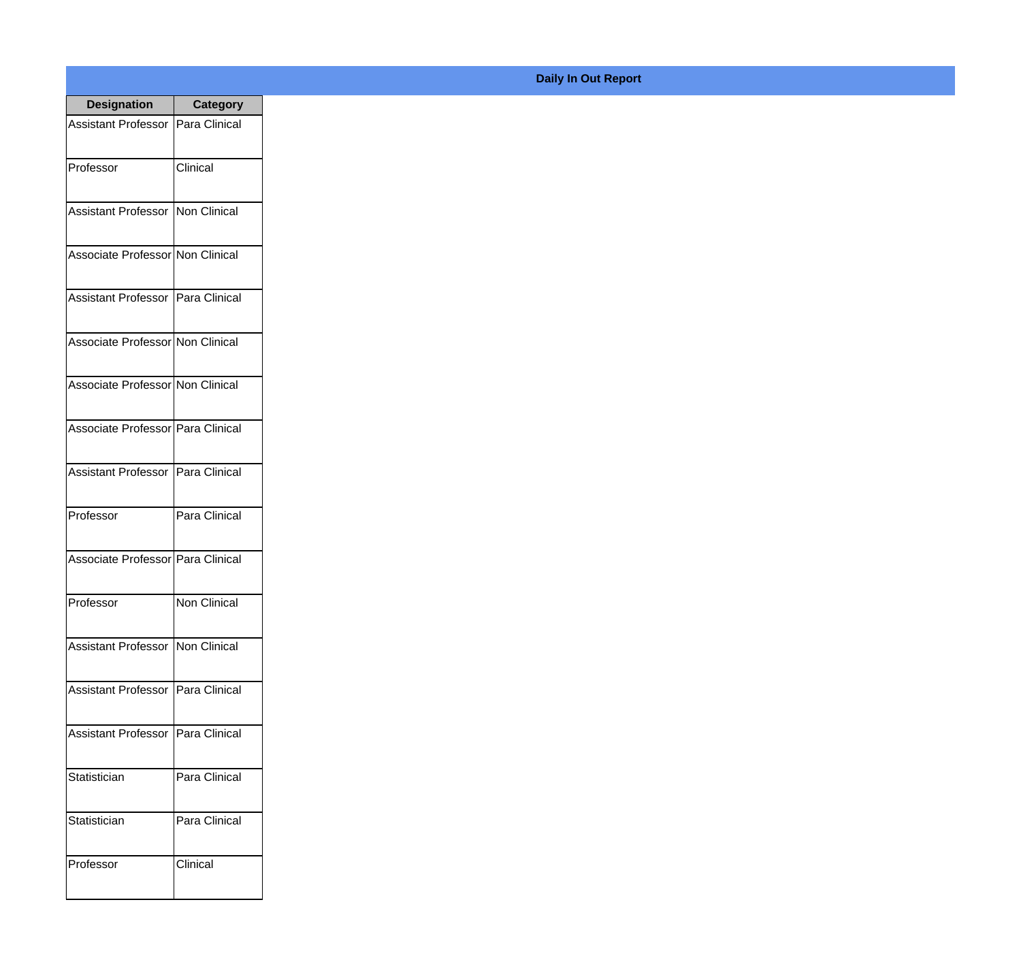| <b>Designation</b>                  | <b>Category</b> |
|-------------------------------------|-----------------|
| <b>Assistant Professor</b>          | Para Clinical   |
| Professor                           | Clinical        |
| <b>Assistant Professor</b>          | Non Clinical    |
| Associate Professor Non Clinical    |                 |
| <b>Assistant Professor</b>          | Para Clinical   |
| Associate Professor Non Clinical    |                 |
| Associate Professor Non Clinical    |                 |
| Associate Professor   Para Clinical |                 |
| Assistant Professor                 | Para Clinical   |
| Professor                           | Para Clinical   |
| Associate Professor   Para Clinical |                 |
| Professor                           | Non Clinical    |
| <b>Assistant Professor</b>          | Non Clinical    |
| <b>Assistant Professor</b>          | Para Clinical   |
| <b>Assistant Professor</b>          | Para Clinical   |
| Statistician                        | Para Clinical   |
| Statistician                        | Para Clinical   |
| Professor                           | Clinical        |

## **Daily In Out Report**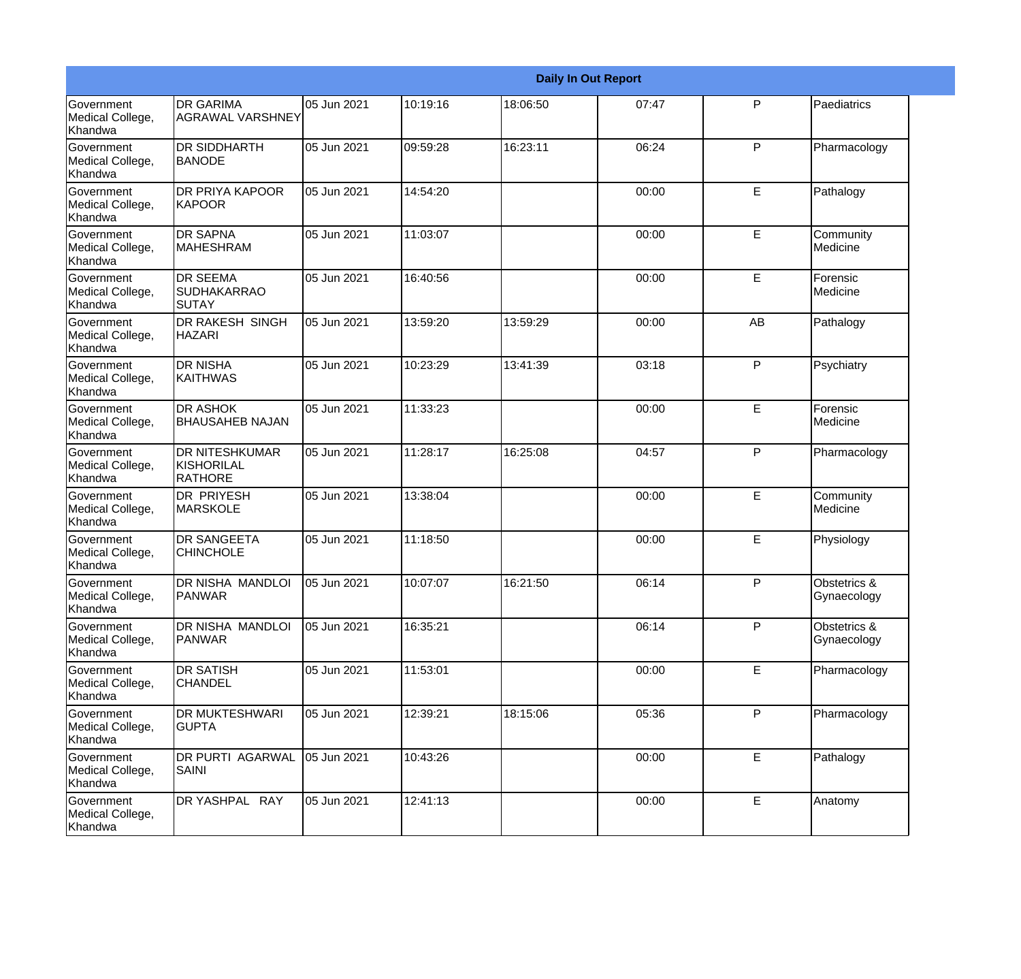|                                                  |                                                |             |          |          | <b>Daily In Out Report</b> |              |                                        |
|--------------------------------------------------|------------------------------------------------|-------------|----------|----------|----------------------------|--------------|----------------------------------------|
| <b>Government</b><br>Medical College,<br>Khandwa | <b>DR GARIMA</b><br><b>AGRAWAL VARSHNEY</b>    | 05 Jun 2021 | 10:19:16 | 18:06:50 | 07:47                      | P            | Paediatrics                            |
| Government<br>Medical College,<br>Khandwa        | <b>DR SIDDHARTH</b><br><b>BANODE</b>           | 05 Jun 2021 | 09:59:28 | 16:23:11 | 06:24                      | P            | Pharmacology                           |
| Government<br>Medical College,<br>Khandwa        | <b>DR PRIYA KAPOOR</b><br><b>KAPOOR</b>        | 05 Jun 2021 | 14:54:20 |          | 00:00                      | E            | Pathalogy                              |
| Government<br>Medical College,<br>Khandwa        | DR SAPNA<br><b>MAHESHRAM</b>                   | 05 Jun 2021 | 11:03:07 |          | 00:00                      | E            | Community<br>Medicine                  |
| <b>Government</b><br>Medical College,<br>Khandwa | <b>DR SEEMA</b><br><b>SUDHAKARRAO</b><br>SUTAY | 05 Jun 2021 | 16:40:56 |          | 00:00                      | E            | Forensic<br>Medicine                   |
| Government<br>Medical College,<br>Khandwa        | <b>DR RAKESH SINGH</b><br><b>HAZARI</b>        | 05 Jun 2021 | 13:59:20 | 13:59:29 | 00:00                      | AB           | Pathalogy                              |
| <b>Government</b><br>Medical College,<br>Khandwa | <b>DR NISHA</b><br><b>KAITHWAS</b>             | 05 Jun 2021 | 10:23:29 | 13:41:39 | 03:18                      | $\mathsf{P}$ | Psychiatry                             |
| Government<br>Medical College,<br>Khandwa        | DR ASHOK<br><b>BHAUSAHEB NAJAN</b>             | 05 Jun 2021 | 11:33:23 |          | 00:00                      | E            | Forensic<br>Medicine                   |
| Government<br>Medical College,<br>Khandwa        | DR NITESHKUMAR<br>KISHORILAL<br><b>RATHORE</b> | 05 Jun 2021 | 11:28:17 | 16:25:08 | 04:57                      | P            | Pharmacology                           |
| <b>Government</b><br>Medical College,<br>Khandwa | <b>DR PRIYESH</b><br><b>MARSKOLE</b>           | 05 Jun 2021 | 13:38:04 |          | 00:00                      | E            | Community<br>Medicine                  |
| Government<br>Medical College,<br>Khandwa        | <b>DR SANGEETA</b><br><b>CHINCHOLE</b>         | 05 Jun 2021 | 11:18:50 |          | 00:00                      | E            | Physiology                             |
| Government<br>Medical College,<br>Khandwa        | DR NISHA MANDLOI<br>PANWAR                     | 05 Jun 2021 | 10:07:07 | 16:21:50 | 06:14                      | P            | <b>Obstetrics &amp;</b><br>Gynaecology |
| Government<br>Medical College,<br>Khandwa        | DR NISHA MANDLOI<br><b>PANWAR</b>              | 05 Jun 2021 | 16:35:21 |          | 06:14                      | $\mathsf{P}$ | Obstetrics &<br>Gynaecology            |
| Government<br>Medical College,<br>Khandwa        | <b>DR SATISH</b><br><b>CHANDEL</b>             | 05 Jun 2021 | 11:53:01 |          | 00:00                      | E            | Pharmacology                           |
| Government<br>Medical College,<br>Khandwa        | DR MUKTESHWARI<br><b>GUPTA</b>                 | 05 Jun 2021 | 12:39:21 | 18:15:06 | 05:36                      | P            | Pharmacology                           |
| Government<br>Medical College,<br>Khandwa        | DR PURTI AGARWAL<br>SAINI                      | 05 Jun 2021 | 10:43:26 |          | 00:00                      | E            | Pathalogy                              |
| Government<br>Medical College,<br>Khandwa        | DR YASHPAL RAY                                 | 05 Jun 2021 | 12:41:13 |          | 00:00                      | E            | Anatomy                                |